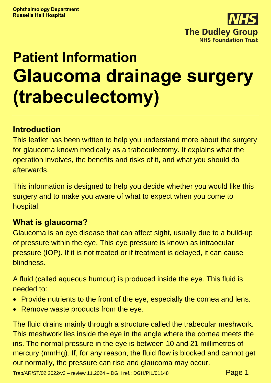

# **Patient Information Glaucoma drainage surgery (trabeculectomy)**

### **Introduction**

This leaflet has been written to help you understand more about the surgery for glaucoma known medically as a trabeculectomy. It explains what the operation involves, the benefits and risks of it, and what you should do afterwards.

This information is designed to help you decide whether you would like this surgery and to make you aware of what to expect when you come to hospital.

### **What is glaucoma?**

Glaucoma is an eye disease that can affect sight, usually due to a build-up of pressure within the eye. This eye pressure is known as intraocular pressure (IOP). If it is not treated or if treatment is delayed, it can cause blindness.

A fluid (called aqueous humour) is produced inside the eye. This fluid is needed to:

- Provide nutrients to the front of the eye, especially the cornea and lens.
- Remove waste products from the eye.

The fluid drains mainly through a structure called the trabecular meshwork. This meshwork lies inside the eye in the angle where the cornea meets the iris. The normal pressure in the eye is between 10 and 21 millimetres of mercury (mmHg). If, for any reason, the fluid flow is blocked and cannot get out normally, the pressure can rise and glaucoma may occur.

Trab/AR/ST/02.2022/v3 – review 11.2024 – DGH ref.: DGH/PIL/01148  $Page 1$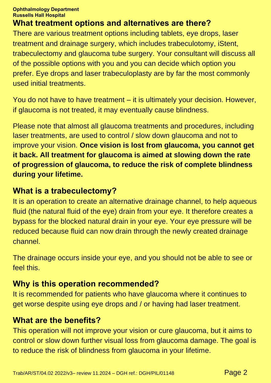# **What treatment options and alternatives are there?**

There are various treatment options including tablets, eye drops, laser treatment and drainage surgery, which includes trabeculotomy, iStent, trabeculectomy and glaucoma tube surgery. Your consultant will discuss all of the possible options with you and you can decide which option you prefer. Eye drops and laser trabeculoplasty are by far the most commonly used initial treatments.

You do not have to have treatment – it is ultimately your decision. However, if glaucoma is not treated, it may eventually cause blindness.

Please note that almost all glaucoma treatments and procedures, including laser treatments, are used to control / slow down glaucoma and not to improve your vision. **Once vision is lost from glaucoma, you cannot get it back. All treatment for glaucoma is aimed at slowing down the rate of progression of glaucoma, to reduce the risk of complete blindness during your lifetime.**

### **What is a trabeculectomy?**

It is an operation to create an alternative drainage channel, to help aqueous fluid (the natural fluid of the eye) drain from your eye. It therefore creates a bypass for the blocked natural drain in your eye. Your eye pressure will be reduced because fluid can now drain through the newly created drainage channel.

The drainage occurs inside your eye, and you should not be able to see or feel this.

# **Why is this operation recommended?**

It is recommended for patients who have glaucoma where it continues to get worse despite using eye drops and / or having had laser treatment.

# **What are the benefits?**

This operation will not improve your vision or cure glaucoma, but it aims to control or slow down further visual loss from glaucoma damage. The goal is to reduce the risk of blindness from glaucoma in your lifetime.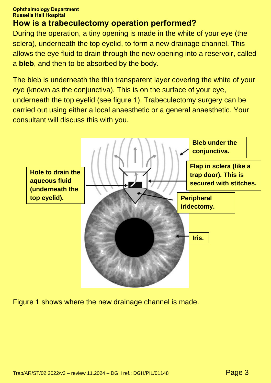# **How is a trabeculectomy operation performed?**

During the operation, a tiny opening is made in the white of your eye (the sclera), underneath the top eyelid, to form a new drainage channel. This allows the eye fluid to drain through the new opening into a reservoir, called a **bleb**, and then to be absorbed by the body.

The bleb is underneath the thin transparent layer covering the white of your eye (known as the conjunctiva). This is on the surface of your eye, underneath the top eyelid (see figure 1). Trabeculectomy surgery can be carried out using either a local anaesthetic or a general anaesthetic. Your consultant will discuss this with you.



Figure 1 shows where the new drainage channel is made.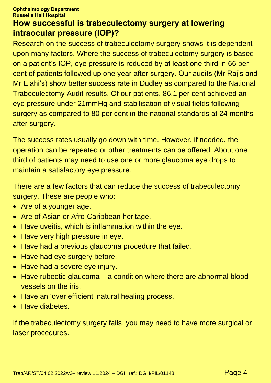### **How successful is trabeculectomy surgery at lowering intraocular pressure (IOP)?**

Research on the success of trabeculectomy surgery shows it is dependent upon many factors. Where the success of trabeculectomy surgery is based on a patient's IOP, eye pressure is reduced by at least one third in 66 per cent of patients followed up one year after surgery. Our audits (Mr Raj's and Mr Elahi's) show better success rate in Dudley as compared to the National Trabeculectomy Audit results. Of our patients, 86.1 per cent achieved an eye pressure under 21mmHg and stabilisation of visual fields following surgery as compared to 80 per cent in the national standards at 24 months after surgery.

The success rates usually go down with time. However, if needed, the operation can be repeated or other treatments can be offered. About one third of patients may need to use one or more glaucoma eye drops to maintain a satisfactory eye pressure.

There are a few factors that can reduce the success of trabeculectomy surgery. These are people who:

- Are of a younger age.
- Are of Asian or Afro-Caribbean heritage.
- Have uveitis, which is inflammation within the eye.
- Have very high pressure in eye.
- Have had a previous glaucoma procedure that failed.
- Have had eye surgery before.
- Have had a severe eye injury.
- Have rubeotic glaucoma a condition where there are abnormal blood vessels on the iris.
- Have an 'over efficient' natural healing process.
- Have diabetes.

If the trabeculectomy surgery fails, you may need to have more surgical or laser procedures.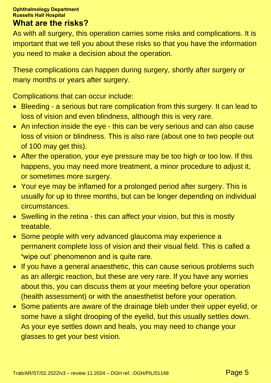### **What are the risks?**

As with all surgery, this operation carries some risks and complications. It is important that we tell you about these risks so that you have the information you need to make a decision about the operation.

These complications can happen during surgery, shortly after surgery or many months or years after surgery.

Complications that can occur include:

- Bleeding a serious but rare complication from this surgery. It can lead to loss of vision and even blindness, although this is very rare.
- An infection inside the eye this can be very serious and can also cause loss of vision or blindness. This is also rare (about one to two people out of 100 may get this).
- After the operation, your eye pressure may be too high or too low. If this happens, you may need more treatment, a minor procedure to adjust it, or sometimes more surgery.
- Your eye may be inflamed for a prolonged period after surgery. This is usually for up to three months, but can be longer depending on individual circumstances.
- Swelling in the retina this can affect your vision, but this is mostly treatable.
- Some people with very advanced glaucoma may experience a permanent complete loss of vision and their visual field. This is called a **'**wipe out' phenomenon and is quite rare.
- If you have a general anaesthetic, this can cause serious problems such as an allergic reaction, but these are very rare. If you have any worries about this, you can discuss them at your meeting before your operation (health assessment) or with the anaesthetist before your operation.
- Some patients are aware of the drainage bleb under their upper eyelid, or some have a slight drooping of the eyelid, but this usually settles down. As your eye settles down and heals, you may need to change your glasses to get your best vision.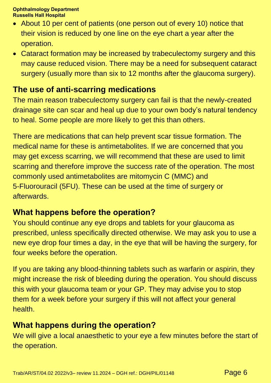- About 10 per cent of patients (one person out of every 10) notice that their vision is reduced by one line on the eye chart a year after the operation.
- Cataract formation may be increased by trabeculectomy surgery and this may cause reduced vision. There may be a need for subsequent cataract surgery (usually more than six to 12 months after the glaucoma surgery).

### **The use of anti-scarring medications**

The main reason trabeculectomy surgery can fail is that the newly-created drainage site can scar and heal up due to your own body's natural tendency to heal. Some people are more likely to get this than others.

There are medications that can help prevent scar tissue formation. The medical name for these is antimetabolites. If we are concerned that you may get excess scarring, we will recommend that these are used to limit scarring and therefore improve the success rate of the operation. The most commonly used antimetabolites are mitomycin C (MMC) and 5-Fluorouracil (5FU). These can be used at the time of surgery or afterwards.

### **What happens before the operation?**

You should continue any eye drops and tablets for your glaucoma as prescribed, unless specifically directed otherwise. We may ask you to use a new eye drop four times a day, in the eye that will be having the surgery, for four weeks before the operation.

If you are taking any blood-thinning tablets such as warfarin or aspirin, they might increase the risk of bleeding during the operation. You should discuss this with your glaucoma team or your GP. They may advise you to stop them for a week before your surgery if this will not affect your general health.

# **What happens during the operation?**

We will give a local anaesthetic to your eye a few minutes before the start of the operation.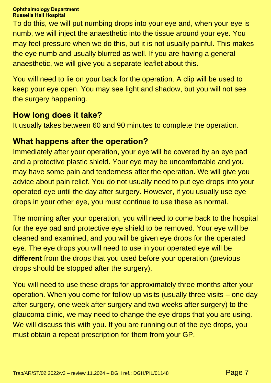To do this, we will put numbing drops into your eye and, when your eye is numb, we will inject the anaesthetic into the tissue around your eye. You may feel pressure when we do this, but it is not usually painful. This makes the eye numb and usually blurred as well. If you are having a general anaesthetic, we will give you a separate leaflet about this.

You will need to lie on your back for the operation. A clip will be used to keep your eye open. You may see light and shadow, but you will not see the surgery happening.

### **How long does it take?**

It usually takes between 60 and 90 minutes to complete the operation.

# **What happens after the operation?**

Immediately after your operation, your eye will be covered by an eye pad and a protective plastic shield. Your eye may be uncomfortable and you may have some pain and tenderness after the operation. We will give you advice about pain relief. You do not usually need to put eye drops into your operated eye until the day after surgery. However, if you usually use eye drops in your other eye, you must continue to use these as normal.

The morning after your operation, you will need to come back to the hospital for the eye pad and protective eye shield to be removed. Your eye will be cleaned and examined, and you will be given eye drops for the operated eye. The eye drops you will need to use in your operated eye will be **different** from the drops that you used before your operation (previous drops should be stopped after the surgery).

You will need to use these drops for approximately three months after your operation. When you come for follow up visits (usually three visits – one day after surgery, one week after surgery and two weeks after surgery) to the glaucoma clinic, we may need to change the eye drops that you are using. We will discuss this with you. If you are running out of the eye drops, you must obtain a repeat prescription for them from your GP.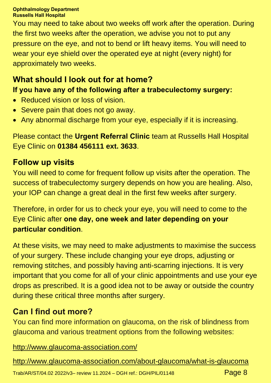You may need to take about two weeks off work after the operation. During the first two weeks after the operation, we advise you not to put any pressure on the eye, and not to bend or lift heavy items. You will need to wear your eye shield over the operated eye at night (every night) for approximately two weeks.

# **What should I look out for at home?**

### **If you have any of the following after a trabeculectomy surgery:**

- Reduced vision or loss of vision.
- Severe pain that does not go away.
- Any abnormal discharge from your eye, especially if it is increasing.

Please contact the **Urgent Referral Clinic** team at Russells Hall Hospital Eye Clinic on **01384 456111 ext. 3633**.

### **Follow up visits**

You will need to come for frequent follow up visits after the operation. The success of trabeculectomy surgery depends on how you are healing. Also, your IOP can change a great deal in the first few weeks after surgery.

Therefore, in order for us to check your eye, you will need to come to the Eye Clinic after **one day, one week and later depending on your particular condition**.

At these visits, we may need to make adjustments to maximise the success of your surgery. These include changing your eye drops, adjusting or removing stitches, and possibly having anti-scarring injections. It is very important that you come for all of your clinic appointments and use your eye drops as prescribed. It is a good idea not to be away or outside the country during these critical three months after surgery.

### **Can I find out more?**

You can find more information on glaucoma, on the risk of blindness from glaucoma and various treatment options from the following websites:

<http://www.glaucoma-association.com/>

<http://www.glaucoma-association.com/about-glaucoma/what-is-glaucoma>

Trab/AR/ST/04.02 2022/v3- review 11.2024 - DGH ref.: DGH/PIL/01148  $Page 8$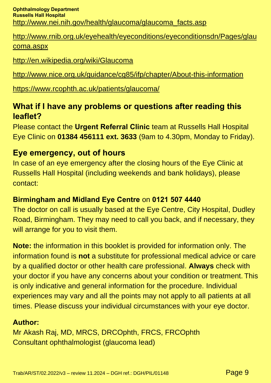[http://www.rnib.org.uk/eyehealth/eyeconditions/eyeconditionsdn/Pages/glau](http://www.rnib.org.uk/eyehealth/eyeconditions/eyeconditionsdn/Pages/glaucoma.aspx) [coma.aspx](http://www.rnib.org.uk/eyehealth/eyeconditions/eyeconditionsdn/Pages/glaucoma.aspx)

<http://en.wikipedia.org/wiki/Glaucoma>

<http://www.nice.org.uk/guidance/cg85/ifp/chapter/About-this-information>

<https://www.rcophth.ac.uk/patients/glaucoma/>

### **What if I have any problems or questions after reading this leaflet?**

Please contact the **Urgent Referral Clinic** team at Russells Hall Hospital Eye Clinic on **01384 456111 ext. 3633** (9am to 4.30pm, Monday to Friday).

### **Eye emergency, out of hours**

In case of an eye emergency after the closing hours of the Eye Clinic at Russells Hall Hospital (including weekends and bank holidays), please contact:

### **Birmingham and Midland Eye Centre** on **0121 507 4440**

The doctor on call is usually based at the Eye Centre, City Hospital, Dudley Road, Birmingham. They may need to call you back, and if necessary, they will arrange for you to visit them.

**Note:** the information in this booklet is provided for information only. The information found is **not** a substitute for professional medical advice or care by a qualified doctor or other health care professional. **Always** check with your doctor if you have any concerns about your condition or treatment. This is only indicative and general information for the procedure. Individual experiences may vary and all the points may not apply to all patients at all times. Please discuss your individual circumstances with your eye doctor.

### **Author:**

Mr Akash Raj, MD, MRCS, DRCOphth, FRCS, FRCOphth Consultant ophthalmologist (glaucoma lead)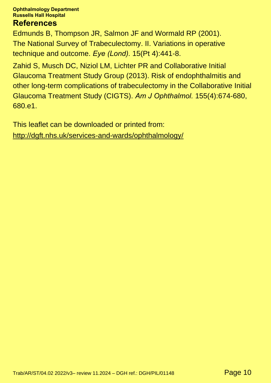### **References**

Edmunds B, Thompson JR, Salmon JF and Wormald RP (2001). The National Survey of Trabeculectomy. II. Variations in operative technique and outcome. *Eye (Lond).* 15(Pt 4):441-8.

Zahid S, Musch DC, Niziol LM, Lichter PR and Collaborative Initial Glaucoma Treatment Study Group (2013). Risk of endophthalmitis and other long-term complications of trabeculectomy in the Collaborative Initial Glaucoma Treatment Study (CIGTS). *Am J Ophthalmol.* 155(4):674-680, 680.e1.

This leaflet can be downloaded or printed from: <http://dgft.nhs.uk/services-and-wards/ophthalmology/>